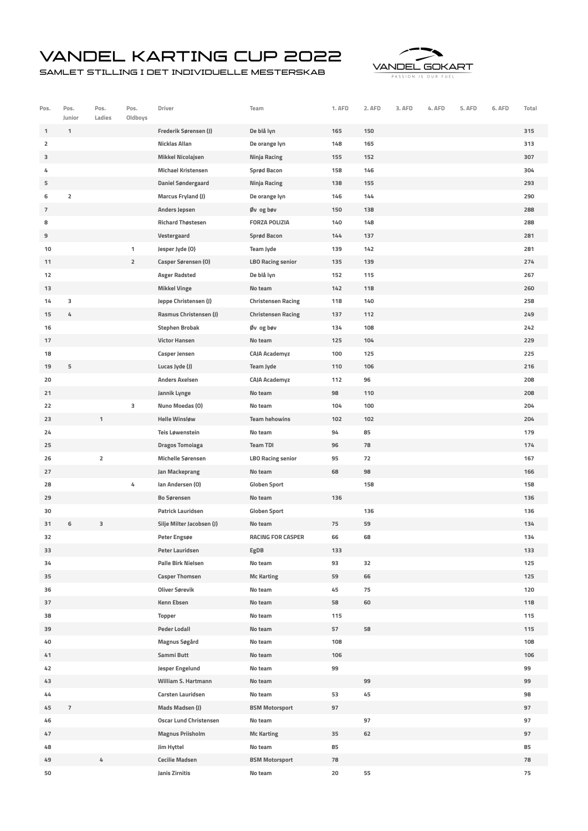## Vandel Karting Cup 2022

Samlet stilling i det individuelle mesterskab



| Pos.           | Pos.<br>Junior | Pos.<br>Ladies          | Pos.<br>Oldboys | Driver                        | Team                      | 1. AFD | 2. AFD | 3. AFD | 4. AFD | 5. AFD | 6. AFD | Total |
|----------------|----------------|-------------------------|-----------------|-------------------------------|---------------------------|--------|--------|--------|--------|--------|--------|-------|
| 1              | $\mathbf{1}$   |                         |                 | Frederik Sørensen (J)         | De blå lyn                | 165    | 150    |        |        |        |        | 315   |
| $\overline{2}$ |                |                         |                 | <b>Nicklas Allan</b>          | De orange lyn             | 148    | 165    |        |        |        |        | 313   |
| з              |                |                         |                 | <b>Mikkel Nicolajsen</b>      | Ninja Racing              | 155    | 152    |        |        |        |        | 307   |
| 4              |                |                         |                 | <b>Michael Kristensen</b>     | Sprød Bacon               | 158    | 146    |        |        |        |        | 304   |
| 5              |                |                         |                 | <b>Daniel Søndergaard</b>     | Ninja Racing              | 138    | 155    |        |        |        |        | 293   |
| 6              | $\overline{2}$ |                         |                 | <b>Marcus Fryland (J)</b>     | De orange lyn             | 146    | 144    |        |        |        |        | 290   |
| $\overline{7}$ |                |                         |                 | Anders Jepsen                 | Øv og bøv                 | 150    | 138    |        |        |        |        | 288   |
| 8              |                |                         |                 | <b>Richard Thøstesen</b>      | <b>FORZA POLIZIA</b>      | 140    | 148    |        |        |        |        | 288   |
| 9              |                |                         |                 | Vestergaard                   | Sprød Bacon               | 144    | 137    |        |        |        |        | 281   |
| 10             |                |                         | $\mathbf{1}$    | Jesper Jyde (0)               | <b>Team Jyde</b>          | 139    | 142    |        |        |        |        | 281   |
| 11             |                |                         | $\overline{2}$  | Casper Sørensen (O)           | <b>LBO Racing senior</b>  | 135    | 139    |        |        |        |        | 274   |
| 12             |                |                         |                 | <b>Asger Radsted</b>          | De blå lyn                | 152    | 115    |        |        |        |        | 267   |
| 13             |                |                         |                 | <b>Mikkel Vinge</b>           | No team                   | 142    | 118    |        |        |        |        | 260   |
| 14             | з              |                         |                 | Jeppe Christensen (J)         | <b>Christensen Racing</b> | 118    | 140    |        |        |        |        | 258   |
| 15             | 4              |                         |                 | <b>Rasmus Christensen (J)</b> | <b>Christensen Racing</b> | 137    | 112    |        |        |        |        | 249   |
| 16             |                |                         |                 | <b>Stephen Brobak</b>         | Øv og bøv                 | 134    | 108    |        |        |        |        | 242   |
| 17             |                |                         |                 | <b>Victor Hansen</b>          | No team                   | 125    | 104    |        |        |        |        | 229   |
| 18             |                |                         |                 | <b>Casper Jensen</b>          | <b>CAJA Academyz</b>      | 100    | 125    |        |        |        |        | 225   |
| 19             | 5              |                         |                 | Lucas Jyde (J)                | <b>Team Jyde</b>          | 110    | 106    |        |        |        |        | 216   |
| 20             |                |                         |                 | <b>Anders Axelsen</b>         | <b>CAJA Academyz</b>      | 112    | 96     |        |        |        |        | 208   |
| 21             |                |                         |                 | Jannik Lynge                  | No team                   | 98     | 110    |        |        |        |        | 208   |
| 22             |                |                         | 3               | Nuno Moedas (O)               | No team                   | 104    | 100    |        |        |        |        | 204   |
| 23             |                | $\mathbf{1}$            |                 | <b>Helle Winsløw</b>          | <b>Team hehowins</b>      | 102    | 102    |        |        |        |        | 204   |
| 24             |                |                         |                 | <b>Teis Løwenstein</b>        | No team                   | 94     | 85     |        |        |        |        | 179   |
| 25             |                |                         |                 | <b>Dragos Tomoiaga</b>        | <b>Team TDI</b>           | 96     | 78     |        |        |        |        | 174   |
| 26             |                | $\overline{\mathbf{2}}$ |                 | Michelle Sørensen             | <b>LBO Racing senior</b>  | 95     | 72     |        |        |        |        | 167   |
| 27             |                |                         |                 | Jan Mackeprang                | No team                   | 68     | 98     |        |        |        |        | 166   |
| 28             |                |                         | 4               | Ian Andersen (O)              | <b>Globen Sport</b>       |        | 158    |        |        |        |        | 158   |
| 29             |                |                         |                 | <b>Bo Sørensen</b>            | No team                   | 136    |        |        |        |        |        | 136   |
| 30             |                |                         |                 | Patrick Lauridsen             | <b>Globen Sport</b>       |        | 136    |        |        |        |        | 136   |
| 31             | 6              | 3                       |                 | Silje Milter Jacobsen (J)     | No team                   | 75     | 59     |        |        |        |        | 134   |
| 32             |                |                         |                 | Peter Engsøe                  | <b>RACING FOR CASPER</b>  | 66     | 68     |        |        |        |        | 134   |
| 33             |                |                         |                 | Peter Lauridsen               | EgDB                      | 133    |        |        |        |        |        | 133   |
| 34             |                |                         |                 | <b>Palle Birk Nielsen</b>     | No team                   | 93     | 32     |        |        |        |        | 125   |
| 35             |                |                         |                 | <b>Casper Thomsen</b>         | <b>Mc Karting</b>         | 59     | 66     |        |        |        |        | 125   |
| 36             |                |                         |                 | Oliver Sørevik                | No team                   | 45     | 75     |        |        |        |        | 120   |
| 37             |                |                         |                 | <b>Kenn Ebsen</b>             | No team                   | 58     | 60     |        |        |        |        | 118   |
| 38             |                |                         |                 | Topper                        | No team                   | 115    |        |        |        |        |        | 115   |
| 39             |                |                         |                 | <b>Peder Lodall</b>           | No team                   | 57     | 58     |        |        |        |        | 115   |
| 40             |                |                         |                 | Magnus Søgård                 | No team                   | 108    |        |        |        |        |        | 108   |
| 41             |                |                         |                 | Sammi Butt                    | No team                   | 106    |        |        |        |        |        | 106   |
| 42             |                |                         |                 | Jesper Engelund               | No team                   | 99     |        |        |        |        |        | 99    |
| 43             |                |                         |                 | William S. Hartmann           | No team                   |        | 99     |        |        |        |        | 99    |
| 44             |                |                         |                 | Carsten Lauridsen             | No team                   | 53     | 45     |        |        |        |        | 98    |
| 45             | $\overline{7}$ |                         |                 | Mads Madsen (J)               | <b>BSM Motorsport</b>     | 97     |        |        |        |        |        | 97    |
| 46             |                |                         |                 | <b>Oscar Lund Christensen</b> | No team                   |        | 97     |        |        |        |        | 97    |
| 47             |                |                         |                 | <b>Magnus Priisholm</b>       | <b>Mc Karting</b>         | 35     | 62     |        |        |        |        | 97    |
| 48             |                |                         |                 | Jim Hyttel                    | No team                   | 85     |        |        |        |        |        | 85    |
| 49             |                | 4                       |                 | <b>Cecilie Madsen</b>         | <b>BSM Motorsport</b>     | 78     |        |        |        |        |        | 78    |
| 50             |                |                         |                 | Janis Zirnitis                | No team                   | 20     | 55     |        |        |        |        | 75    |